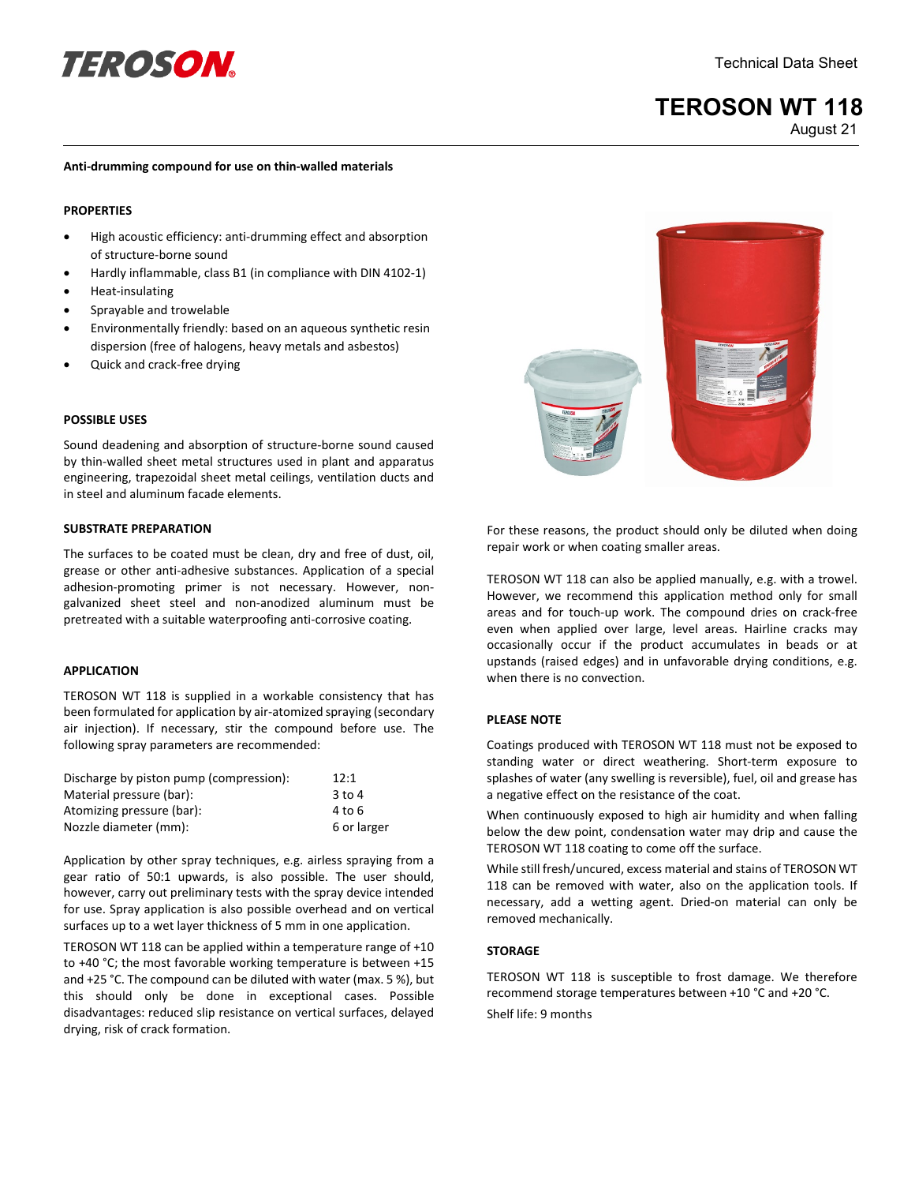# **definition** of the **TEROSON CONTRACT CONTRACT CONTRACT CONTRACT CONTRACT CONTRACT ON A Sheet**

# **TEROSON WT 118** August 21

#### **Anti-drumming compound for use on thin-walled materials**

#### **PROPERTIES**

- High acoustic efficiency: anti-drumming effect and absorption of structure-borne sound
- Hardly inflammable, class B1 (in compliance with DIN 4102-1)
- Heat-insulating
- Sprayable and trowelable
- Environmentally friendly: based on an aqueous synthetic resin dispersion (free of halogens, heavy metals and asbestos)
- Quick and crack-free drying

#### **POSSIBLE USES**

Sound deadening and absorption of structure-borne sound caused by thin-walled sheet metal structures used in plant and apparatus engineering, trapezoidal sheet metal ceilings, ventilation ducts and in steel and aluminum facade elements.

#### **SUBSTRATE PREPARATION**

The surfaces to be coated must be clean, dry and free of dust, oil, grease or other anti-adhesive substances. Application of a special adhesion-promoting primer is not necessary. However, nongalvanized sheet steel and non-anodized aluminum must be pretreated with a suitable waterproofing anti-corrosive coating.

#### **APPLICATION**

TEROSON WT 118 is supplied in a workable consistency that has been formulated for application by air-atomized spraying (secondary air injection). If necessary, stir the compound before use. The following spray parameters are recommended:

| Discharge by piston pump (compression): | 12:1        |
|-----------------------------------------|-------------|
| Material pressure (bar):                | $3$ to 4    |
| Atomizing pressure (bar):               | 4 to 6      |
| Nozzle diameter (mm):                   | 6 or larger |

Application by other spray techniques, e.g. airless spraying from a gear ratio of 50:1 upwards, is also possible. The user should, however, carry out preliminary tests with the spray device intended for use. Spray application is also possible overhead and on vertical surfaces up to a wet layer thickness of 5 mm in one application.

TEROSON WT 118 can be applied within a temperature range of +10 to +40 °C; the most favorable working temperature is between +15 and +25 °C. The compound can be diluted with water (max. 5 %), but this should only be done in exceptional cases. Possible disadvantages: reduced slip resistance on vertical surfaces, delayed drying, risk of crack formation.



For these reasons, the product should only be diluted when doing repair work or when coating smaller areas.

TEROSON WT 118 can also be applied manually, e.g. with a trowel. However, we recommend this application method only for small areas and for touch-up work. The compound dries on crack-free even when applied over large, level areas. Hairline cracks may occasionally occur if the product accumulates in beads or at upstands (raised edges) and in unfavorable drying conditions, e.g. when there is no convection.

# **PLEASE NOTE**

Coatings produced with TEROSON WT 118 must not be exposed to standing water or direct weathering. Short-term exposure to splashes of water (any swelling is reversible), fuel, oil and grease has a negative effect on the resistance of the coat.

When continuously exposed to high air humidity and when falling below the dew point, condensation water may drip and cause the TEROSON WT 118 coating to come off the surface.

While still fresh/uncured, excess material and stains of TEROSON WT 118 can be removed with water, also on the application tools. If necessary, add a wetting agent. Dried-on material can only be removed mechanically.

## **STORAGE**

TEROSON WT 118 is susceptible to frost damage. We therefore recommend storage temperatures between +10 °C and +20 °C. Shelf life: 9 months